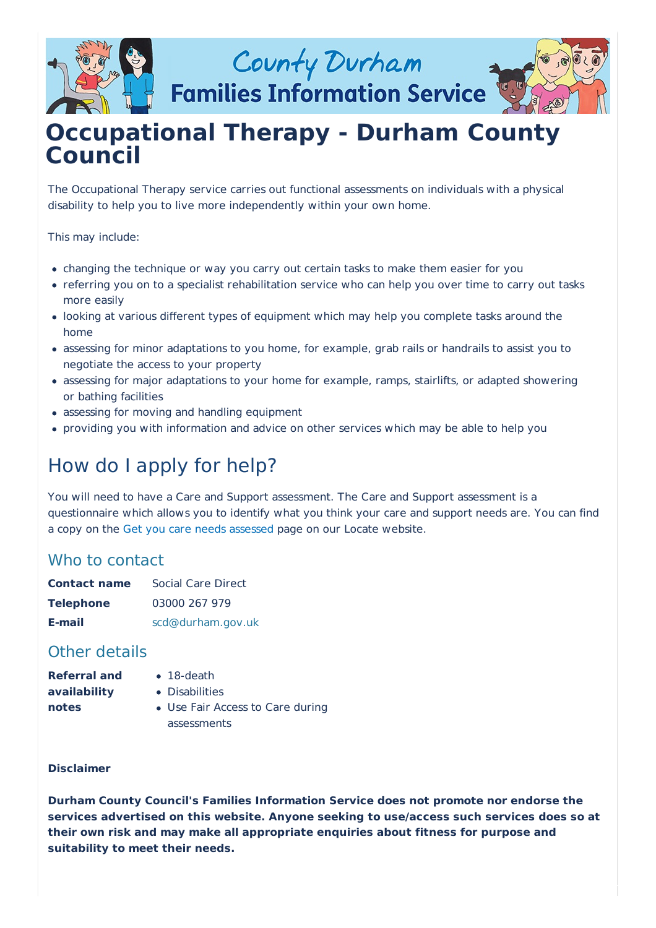

County Durham

**Families Information Service** 

# **Occupational Therapy - Durham County Council**

The Occupational Therapy service carries out functional assessments on individuals with a physical disability to help you to live more independently within your own home.

This may include:

- changing the technique or way you carry out certain tasks to make them easier for you
- referring you on to a specialist rehabilitation service who can help you over time to carry out tasks more easily
- looking at various different types of equipment which may help you complete tasks around the home
- assessing for minor adaptations to you home, for example, grab rails or handrails to assist you to negotiate the access to your property
- assessing for major adaptations to your home for example, ramps, stairlifts, or adapted showering or bathing facilities
- assessing for moving and handling equipment
- providing you with information and advice on other services which may be able to help you

## How do I apply for help?

You will need to have a Care and Support assessment. The Care and Support assessment is a questionnaire which allows you to identify what you think your care and support needs are. You can find a copy on the Get you care needs [assessed](https://www.durhamlocate.org.uk/information/Get-your-care-needs-assessed) page on our Locate website.

### Who to contact

| <b>Contact name</b> | Social Care Direct |
|---------------------|--------------------|
| Telephone           | 03000 267 979      |
| E-mail              | scd@durham.gov.uk  |

### Other details

| <b>Referral and</b> |  |
|---------------------|--|
| availability        |  |
| notes               |  |

- 18-death
- Disabilities
- Use Fair Access to Care during assessments

#### **Disclaimer**

**Durham County Council's Families Information Service does not promote nor endorse the services advertised on this website. Anyone seeking to use/access such services does so at their own risk and may make all appropriate enquiries about fitness for purpose and suitability to meet their needs.**